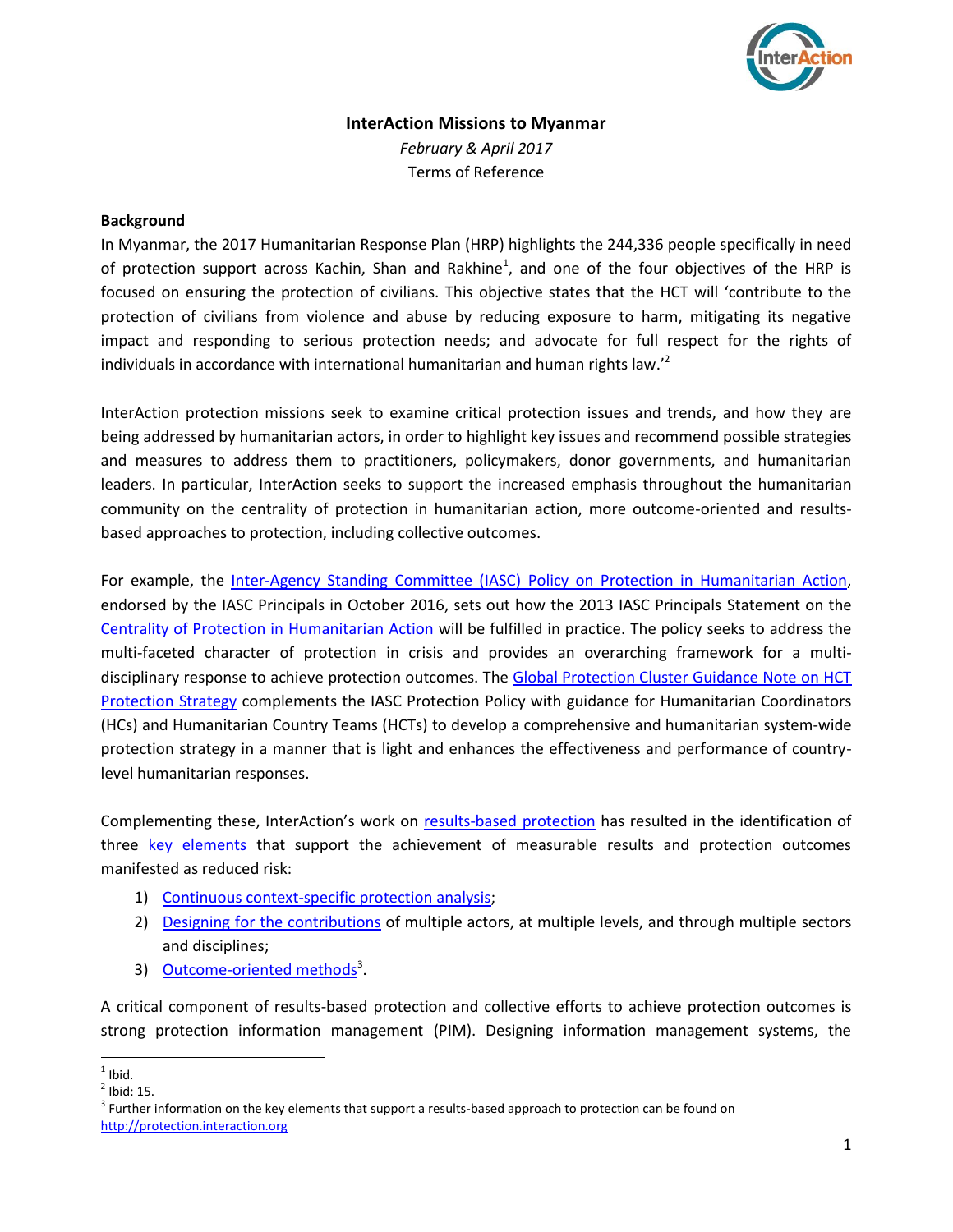

# **InterAction Missions to Myanmar** *February & April 2017*

Terms of Reference

## **Background**

In Myanmar, the 2017 Humanitarian Response Plan (HRP) highlights the 244,336 people specifically in need of protection support across Kachin, Shan and Rakhine<sup>1</sup>, and one of the four objectives of the HRP is focused on ensuring the protection of civilians. This objective states that the HCT will 'contribute to the protection of civilians from violence and abuse by reducing exposure to harm, mitigating its negative impact and responding to serious protection needs; and advocate for full respect for the rights of individuals in accordance with international humanitarian and human rights law.<sup>22</sup>

InterAction protection missions seek to examine critical protection issues and trends, and how they are being addressed by humanitarian actors, in order to highlight key issues and recommend possible strategies and measures to address them to practitioners, policymakers, donor governments, and humanitarian leaders. In particular, InterAction seeks to support the increased emphasis throughout the humanitarian community on the centrality of protection in humanitarian action, more outcome-oriented and resultsbased approaches to protection, including collective outcomes.

For example, the Inter-Agency Standing Committee (IASC) [Policy on Protection in Humanitarian Action,](https://interagencystandingcommittee.org/system/files/iasc_policy_on_protection_in_humanitarian_action_0.pdf) endorsed by the IASC Principals in October 2016, sets out how the 2013 IASC Principals Statement on the [Centrality of Protection in Humanitarian Action](http://www.globalprotectioncluster.org/_assets/files/tools_and_guidance/IASC%20Guidance%20and%20Tools/IASC_Principals_Statement_Centrality_Protection_Humanitarian_Action_December2013_EN.pdf) will be fulfilled in practice. The policy seeks to address the multi-faceted character of protection in crisis and provides an overarching framework for a multidisciplinary response to achieve protection outcomes. The [Global Protection Cluster Guidance Note on HCT](http://www.globalprotectioncluster.org/_assets/files/news_and_publications/hct-protection-strategies-provisional-guidance-final-september-2016.pdf)  **[Protection Strategy](http://www.globalprotectioncluster.org/_assets/files/news_and_publications/hct-protection-strategies-provisional-guidance-final-september-2016.pdf) complements the IASC Protection Policy with guidance for Humanitarian Coordinators** (HCs) and Humanitarian Country Teams (HCTs) to develop a comprehensive and humanitarian system-wide protection strategy in a manner that is light and enhances the effectiveness and performance of countrylevel humanitarian responses.

Complementing these, InterAction's work on [results-based](https://protection.interaction.org/) protection has resulted in the identification of three key elements that support the achievement of measurable results and protection outcomes [manifested as reduced risk:](https://protection.interaction.org/elements-of-rbp/) 

- 1) [Continuous context-specific protection analysis;](https://protection.interaction.org/continuous-context-specific-protection-analysis/)
- 2) [Designing for the contributions](https://protection.interaction.org/design-for-contribution/) of multiple actors, at multiple levels, and through multiple sectors and disciplines;
- 3) [Outcome-oriented methods](https://protection.interaction.org/outcome-oriented-methods/)<sup>3</sup>.

A critical component of results-based protection and collective efforts to achieve protection outcomes is strong protection information management (PIM). Designing information management systems, the

 $\frac{1}{1}$ Ibid.

 $<sup>2</sup>$  Ibid: 15.</sup>

 $3$  Further information on the key elements that support a results-based approach to protection can be found on [http://protection.interaction.org](http://protection.interaction.org/)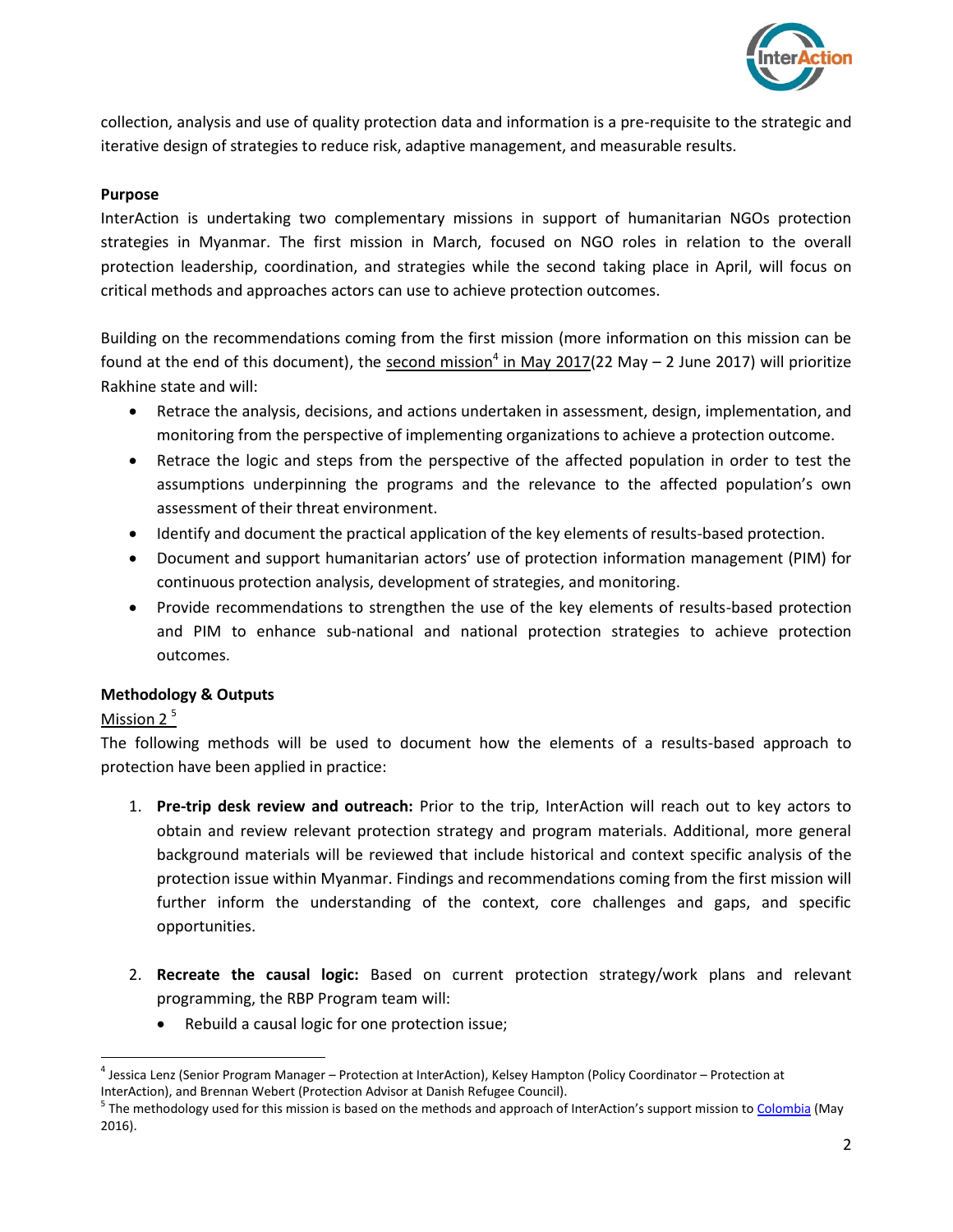

collection, analysis and use of quality protection data and information is a pre-requisite to the strategic and iterative design of strategies to reduce risk, adaptive management, and measurable results.

#### **Purpose**

InterAction is undertaking two complementary missions in support of humanitarian NGOs protection strategies in Myanmar. The first mission in March, focused on NGO roles in relation to the overall protection leadership, coordination, and strategies while the second taking place in April, will focus on critical methods and approaches actors can use to achieve protection outcomes.

Building on the recommendations coming from the first mission (more information on this mission can be found at the end of this document), the second mission<sup>4</sup> in May 2017(22 May – 2 June 2017) will prioritize Rakhine state and will:

- Retrace the analysis, decisions, and actions undertaken in assessment, design, implementation, and monitoring from the perspective of implementing organizations to achieve a protection outcome.
- Retrace the logic and steps from the perspective of the affected population in order to test the assumptions underpinning the programs and the relevance to the affected population's own assessment of their threat environment.
- Identify and document the practical application of the key elements of results-based protection.
- Document and support humanitarian actors' use of protection information management (PIM) for continuous protection analysis, development of strategies, and monitoring.
- Provide recommendations to strengthen the use of the key elements of results-based protection and PIM to enhance sub-national and national protection strategies to achieve protection outcomes.

#### **Methodology & Outputs**

# Mission 2<sup>5</sup>

The following methods will be used to document how the elements of a results-based approach to protection have been applied in practice:

- 1. **Pre-trip desk review and outreach:** Prior to the trip, InterAction will reach out to key actors to obtain and review relevant protection strategy and program materials. Additional, more general background materials will be reviewed that include historical and context specific analysis of the protection issue within Myanmar. Findings and recommendations coming from the first mission will further inform the understanding of the context, core challenges and gaps, and specific opportunities.
- 2. **Recreate the causal logic:** Based on current protection strategy/work plans and relevant programming, the RBP Program team will:
	- Rebuild a causal logic for one protection issue;

 $\overline{a}$ <sup>4</sup> Jessica Lenz (Senior Program Manager – Protection at InterAction), Kelsey Hampton (Policy Coordinator – Protection at InterAction), and Brennan Webert (Protection Advisor at Danish Refugee Council).

<sup>&</sup>lt;sup>5</sup> The methodology used for this mission is based on the methods and approach of InterAction's support mission t[o Colombia](https://protection.interaction.org/results-based-protection-report-field-mission-to-colombia/) (May 2016).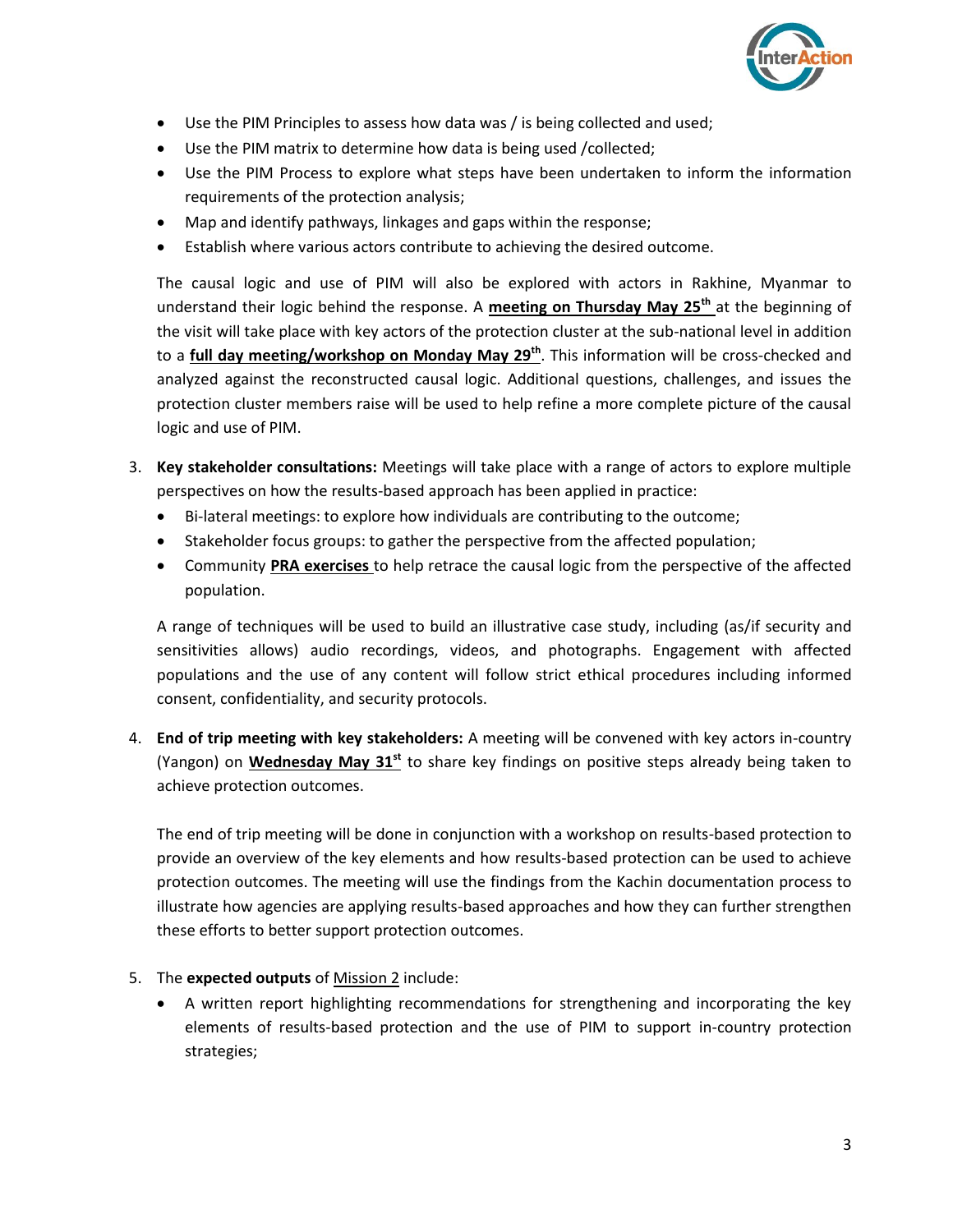

- Use the PIM Principles to assess how data was / is being collected and used;
- Use the PIM matrix to determine how data is being used /collected;
- Use the PIM Process to explore what steps have been undertaken to inform the information requirements of the protection analysis;
- Map and identify pathways, linkages and gaps within the response;
- Establish where various actors contribute to achieving the desired outcome.

The causal logic and use of PIM will also be explored with actors in Rakhine, Myanmar to understand their logic behind the response. A **meeting on Thursday May 25th** at the beginning of the visit will take place with key actors of the protection cluster at the sub-national level in addition to a **full day meeting/workshop on Monday May 29th** . This information will be cross-checked and analyzed against the reconstructed causal logic. Additional questions, challenges, and issues the protection cluster members raise will be used to help refine a more complete picture of the causal logic and use of PIM.

- 3. **Key stakeholder consultations:** Meetings will take place with a range of actors to explore multiple perspectives on how the results-based approach has been applied in practice:
	- Bi-lateral meetings: to explore how individuals are contributing to the outcome;
	- Stakeholder focus groups: to gather the perspective from the affected population;
	- Community **PRA exercises** to help retrace the causal logic from the perspective of the affected population.

A range of techniques will be used to build an illustrative case study, including (as/if security and sensitivities allows) audio recordings, videos, and photographs. Engagement with affected populations and the use of any content will follow strict ethical procedures including informed consent, confidentiality, and security protocols.

4. **End of trip meeting with key stakeholders:** A meeting will be convened with key actors in-country (Yangon) on **Wednesday May 31st** to share key findings on positive steps already being taken to achieve protection outcomes.

The end of trip meeting will be done in conjunction with a workshop on results-based protection to provide an overview of the key elements and how results-based protection can be used to achieve protection outcomes. The meeting will use the findings from the Kachin documentation process to illustrate how agencies are applying results-based approaches and how they can further strengthen these efforts to better support protection outcomes.

- 5. The **expected outputs** of Mission 2 include:
	- A written report highlighting recommendations for strengthening and incorporating the key elements of results-based protection and the use of PIM to support in-country protection strategies;